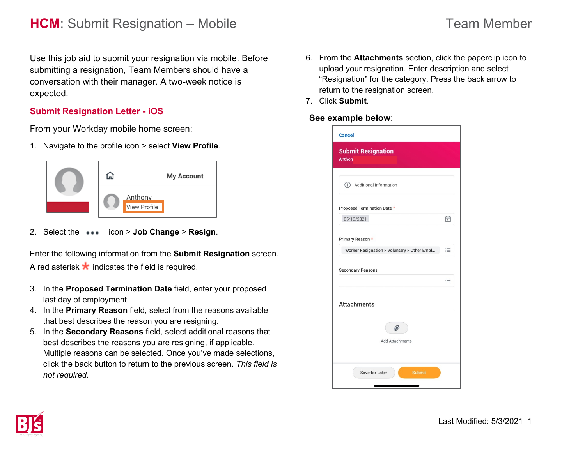# **HCM**: Submit Resignation – Mobile Team Member

Use this job aid to submit your resignation via mobile. Before submitting a resignation, Team Members should have a conversation with their manager. A two-week notice is expected.

#### **Submit Resignation Letter - iOS**

From your Workday mobile home screen:

1. Navigate to the profile icon > select **View Profile**.



2. Select the icon > **Job Change** > **Resign**.

Enter the following information from the **Submit Resignation** screen. A red asterisk  $\star$  indicates the field is required.

- 3. In the **Proposed Termination Date** field, enter your proposed last day of employment.
- 4. In the **Primary Reason** field, select from the reasons available that best describes the reason you are resigning.
- 5. In the **Secondary Reasons** field, select additional reasons that best describes the reasons you are resigning, if applicable. Multiple reasons can be selected. Once you've made selections, click the back button to return to the previous screen. *This field is not required.*
- 6. From the **Attachments** section, click the paperclip icon to upload your resignation. Enter description and select "Resignation" for the category. Press the back arrow to return to the resignation screen.
- 7. Click **Submit**.

#### **See example below**: